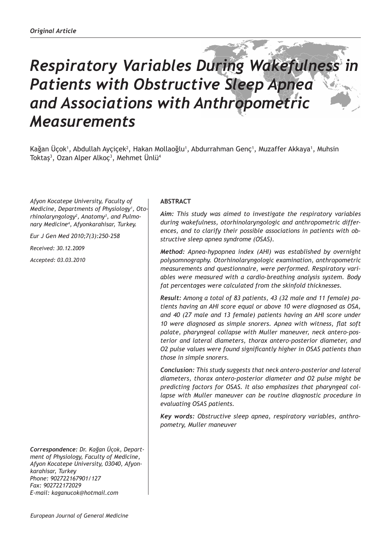# *Respiratory Variables During Wakefulness in Patients with Obstructive Sleep Apnea and Associations with Anthropometric Measurements*

Kağan Uçok<sup>1</sup>, Abdullah Ayçiçek<sup>2</sup>, Hakan Mollaoğlu<sup>1</sup>, Abdurrahman Genç<sup>1</sup>, Muzaffer Akkaya<sup>1</sup>, Muhsin Toktaş<sup>3</sup>, Ozan Alper Alkoç<sup>3</sup>, Mehmet Unlü<sup>4</sup>

*Afyon Kocatepe University, Faculty of Medicine, Departments of Physiology1 , Otorhinolaryngology2 , Anatomy3 , and Pulmonary Medicine4 , Afyonkarahisar, Turkey.*

*Eur J Gen Med 2010;7(3):250-258*

*Received: 30.12.2009*

*Accepted: 03.03.2010*

*Correspondence: Dr. Kağan Üçok, Department of Physiology, Faculty of Medicine, Afyon Kocatepe University, 03040, Afyonkarahisar, Turkey Phone: 902722167901/127 Fax: 902722172029 E-mail: kaganucok@hotmail.com*

## **ABSTRACT**

*Aim: This study was aimed to investigate the respiratory variables during wakefulness, otorhinolaryngologic and anthropometric differences, and to clarify their possible associations in patients with obstructive sleep apnea syndrome (OSAS).* 

*Method: Apnea-hypopnea index (AHI) was established by overnight polysomnography. Otorhinolaryngologic examination, anthropometric measurements and questionnaire, were performed. Respiratory variables were measured with a cardio-breathing analysis system. Body fat percentages were calculated from the skinfold thicknesses.* 

*Result: Among a total of 83 patients, 43 (32 male and 11 female) patients having an AHI score equal or above 10 were diagnosed as OSA, and 40 (27 male and 13 female) patients having an AHI score under 10 were diagnosed as simple snorers. Apnea with witness, flat soft palate, pharyngeal collapse with Muller maneuver, neck antero-posterior and lateral diameters, thorax antero-posterior diameter, and O2 pulse values were found significantly higher in OSAS patients than those in simple snorers.*

*Conclusion: This study suggests that neck antero-posterior and lateral diameters, thorax antero-posterior diameter and O2 pulse might be predicting factors for OSAS. It also emphasizes that pharyngeal collapse with Muller maneuver can be routine diagnostic procedure in evaluating OSAS patients.* 

*Key words: Obstructive sleep apnea, respiratory variables, anthropometry, Muller maneuver*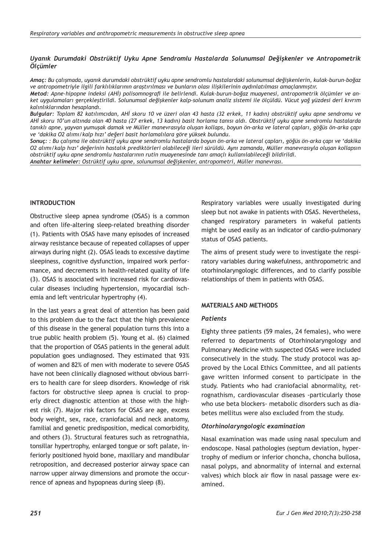## *Uyanık Durumdaki Obstrüktif Uyku Apne Sendromlu Hastalarda Solunumsal Değişkenler ve Antropometrik Ölçümler*

*Amaç: Bu çalışmada, uyanık durumdaki obstrüktif uyku apne sendromlu hastalardaki solunumsal değişkenlerin, kulak-burun-boğaz ve antropometriyle ilgili farklılıklarının araştırılması ve bunların olası ilişkilerinin aydınlatılması amaçlanmıştır.*

*Metod: Apne-hipopne indeksi (AHİ) polisomnografi ile belirlendi. Kulak-burun-boğaz muayenesi, antropometrik ölçümler ve anket uygulamaları gerçekleştirildi. Solunumsal değişkenler kalp-solunum analiz sistemi ile ölçüldü. Vücut yağ yüzdesi deri kıvrım kalınlıklarından hesaplandı.* 

*Bulgular: Toplam 82 katılımcıdan, AHİ skoru 10 ve üzeri olan 43 hasta (32 erkek, 11 kadın) obstrüktif uyku apne sendromu ve AHİ skoru 10'un altında olan 40 hasta (27 erkek, 13 kadın) basit horlama tanısı aldı. Obstrüktif uyku apne sendromlu hastalarda tanıklı apne, yayvan yumuşak damak ve Müller manevrasıyla oluşan kollaps, boyun ön-arka ve lateral çapları, göğüs ön-arka çapı ve 'dakika O2 alımı/kalp hızı' değeri basit horlamalılara göre yüksek bulundu.* 

*Sonuç: : Bu çalışma ile obstrüktif uyku apne sendromlu hastalarda boyun ön-arka ve lateral çapları, göğüs ön-arka çapı ve 'dakika O2 alımı/kalp hızı' değerinin hastalık prediktörleri olabileceği ileri sürüldü. Aynı zamanda, Müller manevrasıyla oluşan kollapsın obstrüktif uyku apne sendromlu hastalarının rutin muayenesinde tanı amaçlı kullanılabileceği bildirildi.* 

*Anahtar kelimeler: Ostrüktif uyku apne, solunumsal değişkenler, antropometri, Müller manevrası.*

## **INTRODUCTION**

Obstructive sleep apnea syndrome (OSAS) is a common and often life-altering sleep-related breathing disorder (1). Patients with OSAS have many episodes of increased airway resistance because of repeated collapses of upper airways during night (2). OSAS leads to excessive daytime sleepiness, cognitive dysfunction, impaired work performance, and decrements in health-related quality of life (3). OSAS is associated with increased risk for cardiovascular diseases including hypertension, myocardial ischemia and left ventricular hypertrophy (4).

In the last years a great deal of attention has been paid to this problem due to the fact that the high prevalence of this disease in the general population turns this into a true public health problem (5). Young et al. (6) claimed that the proportion of OSAS patients in the general adult population goes undiagnosed. They estimated that 93% of women and 82% of men with moderate to severe OSAS have not been clinically diagnosed without obvious barriers to health care for sleep disorders. Knowledge of risk factors for obstructive sleep apnea is crucial to properly direct diagnostic attention at those with the highest risk (7). Major risk factors for OSAS are age, excess body weight, sex, race, craniofacial and neck anatomy, familial and genetic predisposition, medical comorbidity, and others (3). Structural features such as retrognathia, tonsillar hypertrophy, enlarged tongue or soft palate, inferiorly positioned hyoid bone, maxillary and mandibular retroposition, and decreased posterior airway space can narrow upper airway dimensions and promote the occurrence of apneas and hypopneas during sleep (8).

Respiratory variables were usually investigated during sleep but not awake in patients with OSAS. Nevertheless, changed respiratory parameters in wakeful patients might be used easily as an indicator of cardio-pulmonary status of OSAS patients.

The aims of present study were to investigate the respiratory variables during wakefulness, anthropometric and otorhinolaryngologic differences, and to clarify possible relationships of them in patients with OSAS.

#### **MATERIALS AND METHODS**

#### *Patients*

Eighty three patients (59 males, 24 females), who were referred to departments of Otorhinolaryngology and Pulmonary Medicine with suspected OSAS were included consecutively in the study. The study protocol was approved by the Local Ethics Committee, and all patients gave written informed consent to participate in the study. Patients who had craniofacial abnormality, retrognathism, cardiovascular diseases -particularly those who use beta blockers- metabolic disorders such as diabetes mellitus were also excluded from the study.

#### *Otorhinolaryngologic examination*

Nasal examination was made using nasal speculum and endoscope. Nasal pathologies (septum deviation, hypertrophy of medium or inferior choncha, choncha bullosa, nasal polyps, and abnormality of internal and external valves) which block air flow in nasal passage were examined.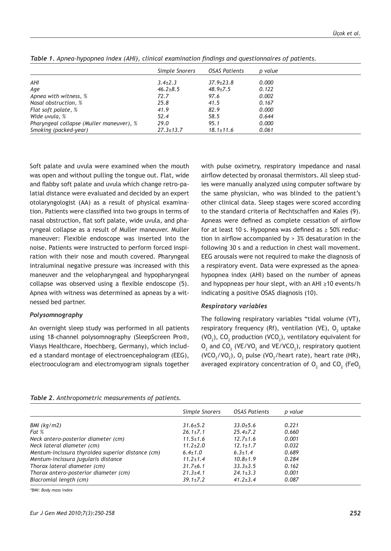|                                          | Simple Snorers  | OSAS Patients   | p value |
|------------------------------------------|-----------------|-----------------|---------|
| AHI                                      | $3.4\pm2.3$     | $37.9 + 23.8$   | 0.000   |
| Age                                      | $46.2 + 8.5$    | $48.9 + 7.5$    | 0.122   |
| Apnea with witness, %                    | 72.7            | 97.6            | 0.002   |
| Nasal obstruction, %                     | 25.8            | 41.5            | 0.167   |
| Flat soft palate, %                      | 41.9            | 82.9            | 0.000   |
| Wide uvula, %                            | 52.4            | 58.5            | 0.644   |
| Pharyngeal collapse (Muller maneuver), % | 29.0            | 95.1            | 0.000   |
| Smoking (packed-year)                    | $27.3 \pm 13.7$ | $18.1 \pm 11.6$ | 0.061   |

*Table 1. Apnea–hypopnea index (AHI), clinical examination findings and questionnaires of patients.*

Soft palate and uvula were examined when the mouth was open and without pulling the tongue out. Flat, wide and flabby soft palate and uvula which change retro-palatial distance were evaluated and decided by an expert otolaryngologist (AA) as a result of physical examination. Patients were classified into two groups in terms of nasal obstruction, flat soft palate, wide uvula, and pharyngeal collapse as a result of Muller maneuver. Muller maneuver: Flexible endoscope was inserted into the noise. Patients were instructed to perform forced inspiration with their nose and mouth covered. Pharyngeal intraluminal negative pressure was increased with this maneuver and the velopharyngeal and hypopharyngeal collapse was observed using a flexible endoscope (5). Apnea with witness was determined as apneas by a witnessed bed partner.

# *Polysomnography*

An overnight sleep study was performed in all patients using 18-channel polysomnography (SleepScreen Pro®, Viasys Healthcare, Hoechberg, Germany), which included a standard montage of electroencephalogram (EEG), electrooculogram and electromyogram signals together with pulse oximetry, respiratory impedance and nasal airflow detected by oronasal thermistors. All sleep studies were manually analyzed using computer software by the same physician, who was blinded to the patient's other clinical data. Sleep stages were scored according to the standard criteria of Rechtschaffen and Kales (9). Apneas were defined as complete cessation of airflow for at least 10 s. Hypopnea was defined as  $\geq$  50% reduction in airflow accompanied by > 3% desaturation in the following 30 s and a reduction in chest wall movement. EEG arousals were not required to make the diagnosis of a respiratory event. Data were expressed as the apnea– hypopnea index (AHI) based on the number of apneas and hypopneas per hour slept, with an AHI ≥10 events/h indicating a positive OSAS diagnosis (10).

# *Respiratory variables*

The following respiratory variables "tidal volume (VT), respiratory frequency (Rf), ventilation (VE),  ${\mathsf O}_{_{\!1}}$  uptake (VO<sub>2</sub>), CO<sub>2</sub> production (VCO<sub>2</sub>), ventilatory equivalent for  $\mathsf{O}_2$  and C $\mathsf{O}_2$  (VE/VO<sub>2</sub> and VE/VCO<sub>2</sub>), respiratory quotient  $(VCO<sub>2</sub>/VO<sub>2</sub>)$ , O<sub>2</sub> pulse  $(VO<sub>2</sub>/heat rate)$ , heart rate (HR), averaged expiratory concentration of  $\mathsf{O}_2$  and  $\mathsf{CO}_2$  (Fe $\mathsf{O}_2$ 

| <b>Table 2.</b> Anthropometric measurements of patients. |  |
|----------------------------------------------------------|--|
|                                                          |  |

|                                                   | Simple Snorers | OSAS Patients  | p value |
|---------------------------------------------------|----------------|----------------|---------|
|                                                   |                |                |         |
| BMI (kg/m2)                                       | $31.6 + 5.2$   | $33.0 + 5.6$   | 0.221   |
| Fat %                                             | $26.1 \pm 7.1$ | $25.4 \pm 7.2$ | 0.660   |
| Neck antero-posterior diameter (cm)               | $11.5 \pm 1.6$ | $12.7 \pm 1.6$ | 0.001   |
| Neck lateral diameter (cm)                        | $11.2 \pm 2.0$ | $12.1 \pm 1.7$ | 0.032   |
| Mentum-incissura thyroidea superior distance (cm) | $6.4 \pm 1.0$  | $6.3 \pm 1.4$  | 0.689   |
| Mentum-incissura jugularis distance               | $11.2 \pm 1.4$ | $10.8 + 1.9$   | 0.284   |
| Thorax lateral diameter (cm)                      | $31.7 + 6.1$   | $33.3 \pm 3.5$ | 0.162   |
| Thorax antero-posterior diameter (cm)             | $21.3 + 4.1$   | $24.1 \pm 3.3$ | 0.001   |
| Biacromial length (cm)                            | $39.1 \pm 7.2$ | $41.2 + 3.4$   | 0.087   |

*\*BMI: Body mass index*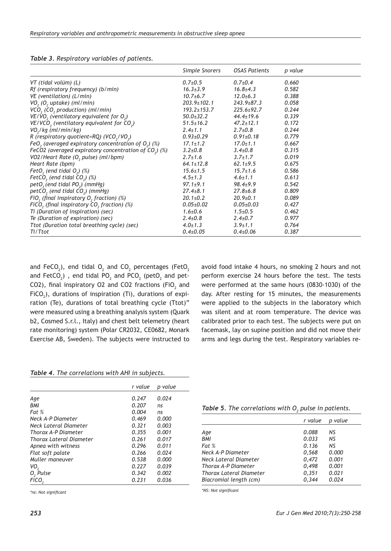|                                                                   | Simple Snorers    | OSAS Patients    | p value |
|-------------------------------------------------------------------|-------------------|------------------|---------|
| VT (tidal volüm) (L)                                              | $0.7{\pm}0.5$     | $0.7 \pm 0.4$    | 0.660   |
| Rf (respiratory frequency) (b/min)                                | $16.3 \pm 3.9$    | $16.8 \pm 4.3$   | 0.582   |
| VE (ventilation) (L/min)                                          | $10.7 + 6.7$      | $12.0 \pm 6.3$   | 0.388   |
| VO <sub>2</sub> (O <sub>2</sub> uptake) (ml/min)                  | 203.9±102.1       | $243.9 \pm 87.3$ | 0.058   |
| VCO <sub>2</sub> (CO <sub>2</sub> production) (ml/min)            | $193.2 \pm 153.7$ | $225.6 \pm 92.7$ | 0.244   |
| $VE/VO$ , (ventilatory equivalent for $O_2$ )                     | $50.0 \pm 32.2$   | $44.4 \pm 19.6$  | 0.339   |
| VE/VCO <sub>2</sub> (ventilatory equivalent for CO <sub>2</sub> ) | $51.5 \pm 16.2$   | $47.2 \pm 12.1$  | 0.172   |
| VO <sub>2</sub> /kg (ml/min/kg)                                   | $2.4 \pm 1.1$     | $2.7 \pm 0.8$    | 0.244   |
| R (respiratory quotient=RQ) (VCO <sub>2</sub> /VO <sub>2</sub> )  | $0.93 \pm 0.29$   | $0.91 \pm 0.18$  | 0.779   |
| FeO <sub>2</sub> (averaged expiratory concentration of $O2$ ) (%) | $17.1 \pm 1.2$    | $17.0 \pm 1.1$   | 0.667   |
| FeCO2 (averaged expiratory concentration of $CO2$ ) (%)           | $3.2{\pm}0.8$     | $3.4 \pm 0.8$    | 0.315   |
| VO2/Heart Rate (O, pulse) (ml/bpm)                                | $2.7 \pm 1.6$     | $3.7 \pm 1.7$    | 0.019   |
| Heart Rate (bpm)                                                  | $64.1 \pm 12.8$   | $62.1 \pm 9.5$   | 0.675   |
| FetO, (end tidal $O_2$ ) (%)                                      | $15.6 \pm 1.5$    | $15.7 \pm 1.6$   | 0.586   |
| FetCO <sub>2</sub> (end tidal $CO2$ ) (%)                         | $4.5 \pm 1.3$     | $4.6 \pm 1.1$    | 0.613   |
| petO <sub>2</sub> (end tidal PO <sub>2</sub> ) (mmHg)             | $97.1 \pm 9.1$    | $98.4 \pm 9.9$   | 0.542   |
| $petCO$ , (end tidal $CO2$ ) (mmHg)                               | $27.4 \pm 8.1$    | $27.8 \pm 6.8$   | 0.809   |
| FiO <sub>2</sub> (final inspiratory $O2$ fraction) (%)            | $20.1 \pm 0.2$    | $20.9 \pm 0.1$   | 0.089   |
| FiCO, (final inspiratory $CO2$ fraction) (%)                      | $0.05 \pm 0.02$   | $0.05 \pm 0.03$  | 0.427   |
| Ti (Duration of inspiration) (sec)                                | $1.6 \pm 0.6$     | $1.5 \pm 0.5$    | 0.462   |
| Te (Duration of expiration) (sec)                                 | $2.4 \pm 0.8$     | $2.4 \pm 0.7$    | 0.977   |
| Ttot (Duration total breathing cycle) (sec)                       | $4.0 \pm 1.3$     | $3.9 \pm 1.1$    | 0.764   |
| Ti/Ttot                                                           | $0.4 \pm 0.05$    | $0.4 \pm 0.06$   | 0.387   |

and FeCO<sub>2</sub>), end tidal O<sub>2</sub> and CO<sub>2</sub> percentages (FetO<sub>2</sub> and FetCO $_2$ ) , end tidal PO $_2$  and PCO $_2$  (petO $_2$  and pet-CO2), final inspiratory O2 and CO2 fractions (FiO $_2$  and FiCO<sub>2</sub>), durations of inspiration (Ti), durations of expiration (Te), durations of total breathing cycle (Ttot)" were measured using a breathing analysis system (Quark b2, Cosmed S.r.l., Italy) and chest belt telemetry (heart rate monitoring) system (Polar CR2032, CE0682, Monark Exercise AB, Sweden). The subjects were instructed to

avoid food intake 4 hours, no smoking 2 hours and not perform exercise 24 hours before the test. The tests were performed at the same hours (0830-1030) of the day. After resting for 15 minutes, the measurements were applied to the subjects in the laboratory which was silent and at room temperature. The device was calibrated prior to each test. The subjects were put on facemask, lay on supine position and did not move their arms and legs during the test. Respiratory variables re-

|  | Table 4. The correlations with AHI in subjects. |  |  |
|--|-------------------------------------------------|--|--|
|--|-------------------------------------------------|--|--|

|                         | r value | p value |
|-------------------------|---------|---------|
|                         |         |         |
| Age                     | 0.247   | 0.024   |
| <b>BMI</b>              | 0.207   | ns      |
| Fat %                   | 0.004   | ns      |
| Neck A-P Diameter       | 0.469   | 0.000   |
| Neck Lateral Diameter   | 0.321   | 0.003   |
| Thorax A-P Diameter     | 0.355   | 0.001   |
| Thorax Lateral Diameter | 0.261   | 0.017   |
| Apnea with witness      | 0.296   | 0.011   |
| Flat soft palate        | 0.266   | 0.024   |
| Muller maneuver         | 0.538   | 0.000   |
| VO <sub>2</sub>         | 0.227   | 0.039   |
| $O2$ Pulse              | 0.342   | 0.002   |
| FiCO <sub>2</sub>       | 0.231   | 0.036   |

*\*ns: Not significant*

# **Table 5.** The correlations with  $O_{2}$  pulse in patients.

|                         | r value | p value |
|-------------------------|---------|---------|
| Age                     | 0.088   | NS      |
| <b>BMI</b>              | 0.033   | NS.     |
| Fat %                   | 0.136   | NS.     |
| Neck A-P Diameter       | 0.568   | 0.000   |
| Neck Lateral Diameter   | 0,472   | 0.001   |
| Thorax A-P Diameter     | 0.498   | 0.001   |
| Thorax Lateral Diameter | 0,351   | 0.021   |
| Biacromial length (cm)  | 0.344   | 0.024   |

*\*NS: Not significant*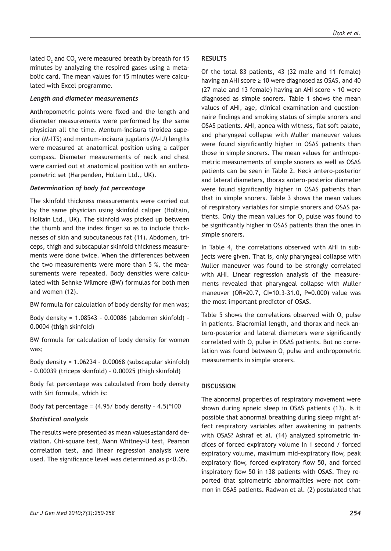lated  ${\sf O}_{\mathfrak z}$  and CO $_{\mathfrak z}$  were measured breath by breath for 15 minutes by analyzing the respired gases using a metabolic card. The mean values for 15 minutes were calculated with Excel programme.

## *Length and diameter measurements*

Anthropometric points were fixed and the length and diameter measurements were performed by the same physician all the time. Mentum-incisura tiroidea superior (M-ITS) and mentum-incisura jugularis (M-IJ) lengths were measured at anatomical position using a caliper compass. Diameter measurements of neck and chest were carried out at anatomical position with an anthropometric set (Harpenden, Holtain Ltd., UK).

## *Determination of body fat percentage*

The skinfold thickness measurements were carried out by the same physician using skinfold caliper (Holtain, Holtain Ltd., UK). The skinfold was picked up between the thumb and the index finger so as to include thicknesses of skin and subcutaneous fat (11). Abdomen, triceps, thigh and subscapular skinfold thickness measurements were done twice. When the differences between the two measurements were more than 5 %, the measurements were repeated. Body densities were calculated with Behnke Wilmore (BW) formulas for both men and women (12).

BW formula for calculation of body density for men was;

Body density = 1.08543 – 0.00086 (abdomen skinfold) – 0.0004 (thigh skinfold)

BW formula for calculation of body density for women was;

Body density = 1.06234 – 0.00068 (subscapular skinfold) – 0.00039 (triceps skinfold) – 0.00025 (thigh skinfold)

Body fat percentage was calculated from body density with Siri formula, which is:

Body fat percentage =  $(4.95/$  body density -  $4.5)$ \*100

## *Statistical analysis*

The results were presented as mean values±standard deviation. Chi-square test, Mann Whitney-U test, Pearson correlation test, and linear regression analysis were used. The significance level was determined as p<0.05.

# **RESULTS**

Of the total 83 patients, 43 (32 male and 11 female) having an AHI score ≥ 10 were diagnosed as OSAS, and 40 (27 male and 13 female) having an AHI score < 10 were diagnosed as simple snorers. Table 1 shows the mean values of AHI, age, clinical examination and questionnaire findings and smoking status of simple snorers and OSAS patients. AHI, apnea with witness, flat soft palate, and pharyngeal collapse with Muller maneuver values were found significantly higher in OSAS patients than those in simple snorers. The mean values for anthropometric measurements of simple snorers as well as OSAS patients can be seen in Table 2. Neck antero-posterior and lateral diameters, thorax antero-posterior diameter were found significantly higher in OSAS patients than that in simple snorers. Table 3 shows the mean values of respiratory variables for simple snorers and OSAS patients. Only the mean values for  $O_2$  pulse was found to be significantly higher in OSAS patients than the ones in simple snorers.

In Table 4, the correlations observed with AHI in subjects were given. That is, only pharyngeal collapse with Muller maneuver was found to be strongly correlated with AHI. Linear regression analysis of the measurements revealed that pharyngeal collapse with Muller maneuver (OR=20.7, CI=10.3-31.0, P=0.000) value was the most important predictor of OSAS.

Table 5 shows the correlations observed with  $\mathsf{O}_2$  pulse in patients. Biacromial length, and thorax and neck antero-posterior and lateral diameters were significantly correlated with  ${\mathsf O}_{\!_2}$  pulse in OSAS patients. But no correlation was found between  $O_2$  pulse and anthropometric measurements in simple snorers.

# **DISCUSSION**

The abnormal properties of respiratory movement were shown during apneic sleep in OSAS patients (13). Is it possible that abnormal breathing during sleep might affect respiratory variables after awakening in patients with OSAS? Ashraf et al. (14) analyzed spirometric indices of forced expiratory volume in 1 second / forced expiratory volume, maximum mid-expiratory flow, peak expiratory flow, forced expiratory flow 50, and forced inspiratory flow 50 in 138 patients with OSAS. They reported that spirometric abnormalities were not common in OSAS patients. Radwan et al. (2) postulated that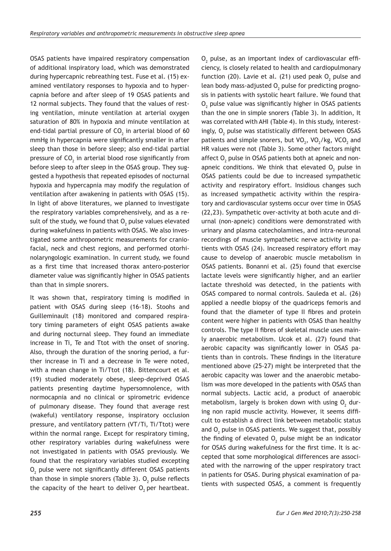OSAS patients have impaired respiratory compensation of additional inspiratory load, which was demonstrated during hypercapnic rebreathing test. Fuse et al. (15) examined ventilatory responses to hypoxia and to hypercapnia before and after sleep of 19 OSAS patients and 12 normal subjects. They found that the values of resting ventilation, minute ventilation at arterial oxygen saturation of 80% in hypoxia and minute ventilation at end-tidal partial pressure of CO $_{\textrm{\scriptsize{2}}}$  in arterial blood of 60  $^{\circ}$ mmHg in hypercapnia were significantly smaller in after sleep than those in before sleep; also end-tidal partial pressure of CO $_{\textrm{\tiny{2}}}$  in arterial blood rose significantly from before sleep to after sleep in the OSAS group. They suggested a hypothesis that repeated episodes of nocturnal hypoxia and hypercapnia may modify the regulation of ventilation after awakening in patients with OSAS (15). In light of above literatures, we planned to investigate the respiratory variables comprehensively, and as a result of the study, we found that  ${\mathsf O}_2$  pulse values elevated during wakefulness in patients with OSAS. We also investigated some anthropometric measurements for craniofacial, neck and chest regions, and performed otorhinolaryngologic examination. In current study, we found as a first time that increased thorax antero-posterior diameter value was significantly higher in OSAS patients than that in simple snorers.

It was shown that, respiratory timing is modified in patient with OSAS during sleep (16-18). Stoohs and Guilleminault (18) monitored and compared respiratory timing parameters of eight OSAS patients awake and during nocturnal sleep. They found an immediate increase in Ti, Te and Ttot with the onset of snoring. Also, through the duration of the snoring period, a further increase in Ti and a decrease in Te were noted, with a mean change in Ti/Ttot (18). Bittencourt et al. (19) studied moderately obese, sleep-deprived OSAS patients presenting daytime hypersomnolence, with normocapnia and no clinical or spirometric evidence of pulmonary disease. They found that average rest (wakeful) ventilatory response, inspiratory occlusion pressure, and ventilatory pattern (VT/Ti, Ti/Ttot) were within the normal range. Except for respiratory timing, other respiratory variables during wakefulness were not investigated in patients with OSAS previously. We found that the respiratory variables studied excepting  $\mathsf{O}_2$  pulse were not significantly different OSAS patients than those in simple snorers (Table 3).  $O_2$  pulse reflects the capacity of the heart to deliver  $O_2$  per heartbeat.

 $\mathsf{O}_2$  pulse, as an important index of cardiovascular efficiency, is closely related to health and cardiopulmonary function (20). Lavie et al. (21) used peak  $O_2$  pulse and lean body mass-adjusted  $\mathsf{O}_2$  pulse for predicting prognosis in patients with systolic heart failure. We found that  $\mathsf{O}_2$  pulse value was significantly higher in OSAS patients than the one in simple snorers (Table 3). In addition, It was correlated with AHI (Table 4). In this study, interestingly,  $\mathsf{O}_2$  pulse was statistically different between <code>OSAS</code> patients and simple snorers, but  $\mathrm{VO}_2$ ,  $\mathrm{VO}_2/\mathrm{kg}$ ,  $\mathrm{VCO}_2$  and HR values were not (Table 3). Some other factors might affect  ${\mathsf O}_2$  pulse in OSAS patients both at apneic and nonapneic conditions. We think that elevated  $O_2$  pulse in OSAS patients could be due to increased sympathetic activity and respiratory effort. Insidious changes such as increased sympathetic activity within the respiratory and cardiovascular systems occur over time in OSAS (22,23). Sympathetic over-activity at both acute and diurnal (non-apneic) conditions were demonstrated with urinary and plasma catecholamines, and intra-neuronal recordings of muscle sympathetic nerve activity in patients with OSAS (24). Increased respiratory effort may cause to develop of anaerobic muscle metabolism in OSAS patients. Bonanni et al. (25) found that exercise lactate levels were significantly higher, and an earlier lactate threshold was detected, in the patients with OSAS compared to normal controls. Sauleda et al. (26) applied a needle biopsy of the quadriceps femoris and found that the diameter of type II fibres and protein content were higher in patients with OSAS than healthy controls. The type II fibres of skeletal muscle uses mainly anaerobic metabolism. Ucok et al. (27) found that aerobic capacity was significantly lower in OSAS patients than in controls. These findings in the literature mentioned above (25-27) might be interpreted that the aerobic capacity was lower and the anaerobic metabolism was more developed in the patients with OSAS than normal subjects. Lactic acid, a product of anaerobic metabolism, largely is broken down with using  $O_2$  during non rapid muscle activity. However, it seems difficult to establish a direct link between metabolic status and  $O_2$  pulse in OSAS patients. We suggest that, possibly the finding of elevated  $O_2$  pulse might be an indicator for OSAS during wakefulness for the first time. It is accepted that some morphological differences are associated with the narrowing of the upper respiratory tract in patients for OSAS. During physical examination of patients with suspected OSAS, a comment is frequently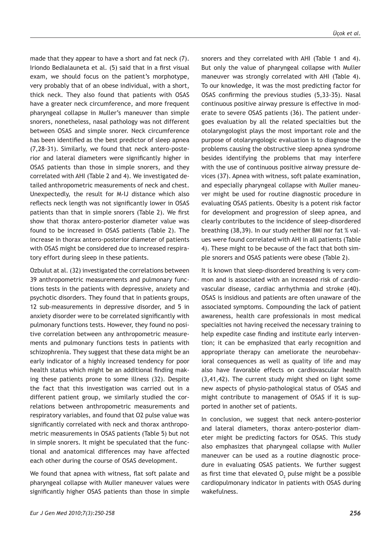made that they appear to have a short and fat neck (7). Iriondo Bedialauneta et al. (5) said that in a first visual exam, we should focus on the patient's morphotype, very probably that of an obese individual, with a short, thick neck. They also found that patients with OSAS have a greater neck circumference, and more frequent pharyngeal collapse in Muller's maneuver than simple snorers, nonetheless, nasal pathology was not different between OSAS and simple snorer. Neck circumference has been identified as the best predictor of sleep apnea (7,28-31). Similarly, we found that neck antero-posterior and lateral diameters were significantly higher in OSAS patients than those in simple snorers, and they correlated with AHI (Table 2 and 4). We investigated detailed anthropometric measurements of neck and chest. Unexpectedly, the result for M-IJ distance which also reflects neck length was not significantly lower in OSAS patients than that in simple snorers (Table 2). We first show that thorax antero-posterior diameter value was found to be increased in OSAS patients (Table 2). The increase in thorax antero-posterior diameter of patients with OSAS might be considered due to increased respiratory effort during sleep in these patients.

Ozbulut at al. (32) investigated the correlations between 39 anthropometric measurements and pulmonary functions tests in the patients with depressive, anxiety and psychotic disorders. They found that in patients groups, 12 sub-measurements in depressive disorder, and 5 in anxiety disorder were to be correlated significantly with pulmonary functions tests. However, they found no positive correlation between any anthropometric measurements and pulmonary functions tests in patients with schizophrenia. They suggest that these data might be an early indicator of a highly increased tendency for poor health status which might be an additional finding making these patients prone to some illness (32). Despite the fact that this investigation was carried out in a different patient group, we similarly studied the correlations between anthropometric measurements and respiratory variables, and found that O2 pulse value was significantly correlated with neck and thorax anthropometric measurements in OSAS patients (Table 5) but not in simple snorers. It might be speculated that the functional and anatomical differences may have affected each other during the course of OSAS development.

We found that apnea with witness, flat soft palate and pharyngeal collapse with Muller maneuver values were significantly higher OSAS patients than those in simple snorers and they correlated with AHI (Table 1 and 4). But only the value of pharyngeal collapse with Muller maneuver was strongly correlated with AHI (Table 4). To our knowledge, it was the most predicting factor for OSAS confirming the previous studies (5,33-35). Nasal continuous positive airway pressure is effective in moderate to severe OSAS patients (36). The patient undergoes evaluation by all the related specialties but the otolaryngologist plays the most important role and the purpose of otolaryngologic evaluation is to diagnose the problems causing the obstructive sleep apnea syndrome besides identifying the problems that may interfere with the use of continuous positive airway pressure devices (37). Apnea with witness, soft palate examination, and especially pharyngeal collapse with Muller maneuver might be used for routine diagnostic procedure in evaluating OSAS patients. Obesity is a potent risk factor for development and progression of sleep apnea, and clearly contributes to the incidence of sleep-disordered breathing (38,39). In our study neither BMI nor fat % values were found correlated with AHI in all patients (Table 4). These might to be because of the fact that both simple snorers and OSAS patients were obese (Table 2).

It is known that sleep-disordered breathing is very common and is associated with an increased risk of cardiovascular disease, cardiac arrhythmia and stroke (40). OSAS is insidious and patients are often unaware of the associated symptoms. Compounding the lack of patient awareness, health care professionals in most medical specialties not having received the necessary training to help expedite case finding and institute early intervention; it can be emphasized that early recognition and appropriate therapy can ameliorate the neurobehavioral consequences as well as quality of life and may also have favorable effects on cardiovascular health (3,41,42). The current study might shed on light some new aspects of physio-pathological status of OSAS and might contribute to management of OSAS if it is supported in another set of patients.

In conclusion, we suggest that neck antero-posterior and lateral diameters, thorax antero-posterior diameter might be predicting factors for OSAS. This study also emphasizes that pharyngeal collapse with Muller maneuver can be used as a routine diagnostic procedure in evaluating OSAS patients. We further suggest as first time that elevated  $O_2$  pulse might be a possible cardiopulmonary indicator in patients with OSAS during wakefulness.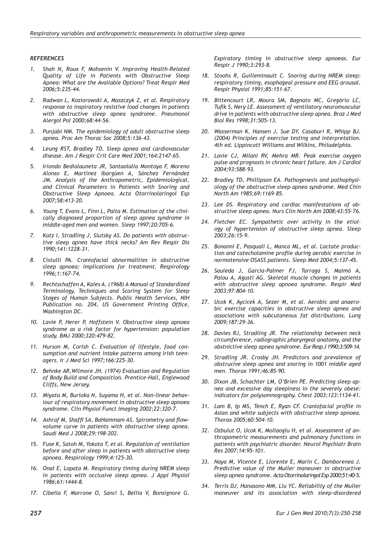#### *REFERENCES*

- *1. Shah N, Roux F, Mohsenin V. Improving Health-Related Quality of Life in Patients with Obstructive Sleep Apnea: What are the Available Options? Treat Respir Med 2006;5:235-44.*
- *2. Radwan L, Koziorowski A, Maszczyk Z, et al. Respiratory response to inspiratory resistive load changes in patients with obstructive sleep apnea syndrome. Pneumonol Alergol Pol 2000;68:44-56.*
- *3. Punjabi NM. The epidemiology of adult obstructive sleep apnea. Proc Am Thorac Soc 2008;5:136-43.*
- *4. Leung RST, Bradley TD. Sleep apnea and cardiovascular disease. Am J Respir Crit Care Med 2001;164:2147-65.*
- *5. Iriondo Bedialauneta JR, Santaolalla Montoya F, Moreno Alonso E, Martínez Ibargüen A, Sánchez Fernández JM. Analysis of the Anthropometric, Epidemiological, and Clinical Parameters in Patients with Snoring and Obstructive Sleep Apnoea. Acta Otorrinolaringol Esp 2007;58:413-20.*
- *6. Young T, Evans L, Finn L, Palta M. Estimation of the clinically diagnosed proportion of sleep apnea syndrome in middle-aged men and women. Sleep 1997;20:705-6.*
- *7. Katz I, Stradling J, Slutsky AS. Do patients with obstructive sleep apnea have thick necks? Am Rev Respir Dis 1990;141:1228-31.*
- *8. Cistulli PA. Craniofacial abnormalities in obstructive sleep apnoea: implications for treatment. Respirology 1996;1:167-74.*
- *9. Rechtschaffen A, Kales A. (1968) A Manual of Standardized Terminology, Techniques and Scoring System for Sleep Stages of Human Subjects. Public Health Services, NIH Publication no. 204, US Government Printing Office, Washington DC.*
- *10. Lavie P, Herer P, Hoffstein V. Obstructive sleep apnoea syndrome as a risk factor for hypertension: population study. BMJ 2000;320:479-82.*
- *11. Hurson M, Corish C. Evaluation of lifestyle, food consumption and nutrient intake patterns among Irish teenagers. Ir J Med Sci 1997;166:225-30.*
- *12. Behnke AR,Wilmore JH. (1974) Evaluation and Regulation of Body Build and Composition. Prentice-Hall, Englewood Cliffs, New Jersey.*
- *13. Miyata M, Burioka N, Suyama H, et al. Non-linear behaviour of respiratory movement in obstructive sleep apnoea syndrome. Clin Physiol Funct Imaging 2002;22:320-7.*
- *14. Ashraf M, Shaffi SA, BaHammam AS. Spirometry and flowvolume curve in patients with obstructive sleep apnea. Saudi Med J 2008;29:198-202.*
- *15. Fuse K, Satoh M, Yokota T, et al. Regulation of ventilation before and after sleep in patients with obstructive sleep apnoea. Respirology 1999;4:125-30.*
- *16. Onal E, Lopata M. Respiratory timing during NREM sleep in patients with occlusive sleep apnea. J Appl Physiol 1986;61:1444-8.*
- *17. Cibella F, Marrone O, Sanci S, Bellia V, Bonsignore G.*

*Expiratory timing in obstructive sleep apnoeas. Eur Respir J 1990;3:293-8.*

- *18. Stoohs R, Guilleminault C. Snoring during NREM sleep: respiratory timing, esophageal pressure and EEG arousal. Respir Physiol 1991;85:151-67.*
- *19. Bittencourt LR, Moura SM, Bagnato MC, Gregório LC, Tufik S, Nery LE. Assessment of ventilatory neuromuscular drive in patients with obstructive sleep apnea. Braz J Med Biol Res 1998;31:505-13.*
- *20. Wasserman K, Hansen J, Sue DY, Casaburi R, Whipp BJ. (2004) Principles of exercise testing and interpretation. 4th ed. Lippincott Williams and Wilkins, Philadelphia.*
- *21. Lavie CJ, Milani RV, Mehra MR. Peak exercise oxygen pulse and prognosis in chronic heart failure. Am J Cardiol 2004;93:588-93.*
- *22. Bradley TD, Phillipson EA. Pathogenesis and pathophysiology of the obstructive sleep apnea syndrome. Med Chin North Am 1985;69:1169-85.*
- *23. Lee DS. Respiratory and cardiac manifestations of obstructive sleep apnea. Nurs Clin North Am 2008;43:55-76.*
- *24. Fletcher EC. Sympathetic over activity in the etiology of hypertension of obstructive sleep apnea. Sleep 2003;26:15-9.*
- *25. Bonanni E, Pasquali L, Manca ML, et al. Lactate production and catecholamine profile during aerobic exercise in normotensive OSASS patients. Sleep Med 2004;5:137-45.*
- *26. Sauleda J, García-Palmer FJ, Tarraga S, Maimó A, Palou A, Agustí AG. Skeletal muscle changes in patients with obstructive sleep apnoea syndrome. Respir Med 2003;97:804-10.*
- *27. Ucok K, Aycicek A, Sezer M, et al. Aerobic and anaerobic exercise capacities in obstructive sleep apnea and associations with subcutaneous fat distributions. Lung 2009;187:29-36.*
- *28. Davies RJ, Stradling JR. The relationship between neck circumference, radiographic pharyngeal anatomy, and the obstnictive sleep apnea syndrome. Eur Resp J 1990;3:509-14.*
- *29. Stradling JR. Crosby JH. Predictors and prevalence of obstrucive sleep apnea and snoring in 1001 middle aged men. Thorax 1991;46:85-90.*
- *30. Dixon JB, Schachter LM, O'Brien PE. Predicting sleep apnea and excessive day sleepiness in the severely obese: indicators for polysomnography. Chest 2003;123:1134-41.*
- *31. Lam B, Ip MS, Tench E, Ryan CF. Craniofacial profile in Asian and white subjects with obstructive sleep apnoea. Thorax 2005;60:504-10.*
- *32. Ozbulut O, Ucok K, Mollaoglu H, et al. Assessment of anthropometric measurements and pulmonary functions in patients with psychiatric disorder. Neurol Psychiatr Brain Res 2007;14:95-101.*
- *33. Naya M, Vicente E, Llorente E, Marín C, Damborenea J. Predictive value of the Muller maneuver in obstructive sleep apnea syndrome. Acta Otorrinolaringol Esp 2000;51:40-5.*
- *34. Terris DJ, Hanasono MM, Liu YC. Reliability of the Muller maneuver and its association with sleep-disordered*